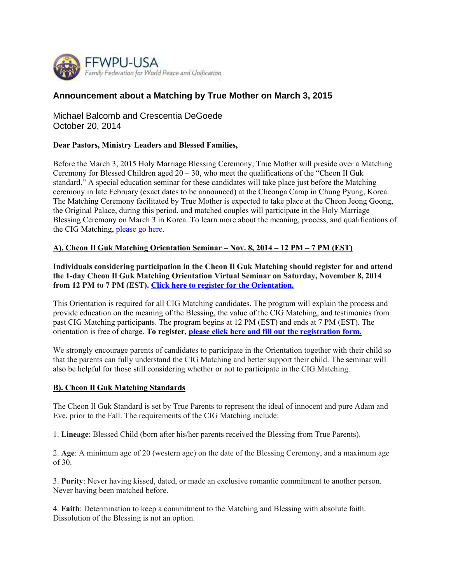

## **Announcement about a Matching by True Mother on March 3, 2015**

Michael Balcomb and Crescentia DeGoede October 20, 2014

## **Dear Pastors, Ministry Leaders and Blessed Families,**

Before the March 3, 2015 Holy Marriage Blessing Ceremony, True Mother will preside over a Matching Ceremony for Blessed Children aged  $20 - 30$ , who meet the qualifications of the "Cheon II Guk standard." A special education seminar for these candidates will take place just before the Matching ceremony in late February (exact dates to be announced) at the Cheonga Camp in Chung Pyung, Korea. The Matching Ceremony facilitated by True Mother is expected to take place at the Cheon Jeong Goong, the Original Palace, during this period, and matched couples will participate in the Holy Marriage Blessing Ceremony on March 3 in Korea. To learn more about the meaning, process, and qualifications of the CIG Matching, please go here.

## **A). Cheon Il Guk Matching Orientation Seminar – Nov. 8, 2014 – 12 PM – 7 PM (EST)**

**Individuals considering participation in the Cheon Il Guk Matching should register for and attend the 1-day Cheon Il Guk Matching Orientation Virtual Seminar on Saturday, November 8, 2014 from 12 PM to 7 PM (EST). Click here to register for the Orientation.**

This Orientation is required for all CIG Matching candidates. The program will explain the process and provide education on the meaning of the Blessing, the value of the CIG Matching, and testimonies from past CIG Matching participants. The program begins at 12 PM (EST) and ends at 7 PM (EST). The orientation is free of charge. **To register, please click here and fill out the registration form.**

We strongly encourage parents of candidates to participate in the Orientation together with their child so that the parents can fully understand the CIG Matching and better support their child. The seminar will also be helpful for those still considering whether or not to participate in the CIG Matching.

## **B). Cheon Il Guk Matching Standards**

The Cheon Il Guk Standard is set by True Parents to represent the ideal of innocent and pure Adam and Eve, prior to the Fall. The requirements of the CIG Matching include:

1. **Lineage**: Blessed Child (born after his/her parents received the Blessing from True Parents).

2. **Age**: A minimum age of 20 (western age) on the date of the Blessing Ceremony, and a maximum age of 30.

3. **Purity**: Never having kissed, dated, or made an exclusive romantic commitment to another person. Never having been matched before.

4. **Faith**: Determination to keep a commitment to the Matching and Blessing with absolute faith. Dissolution of the Blessing is not an option.